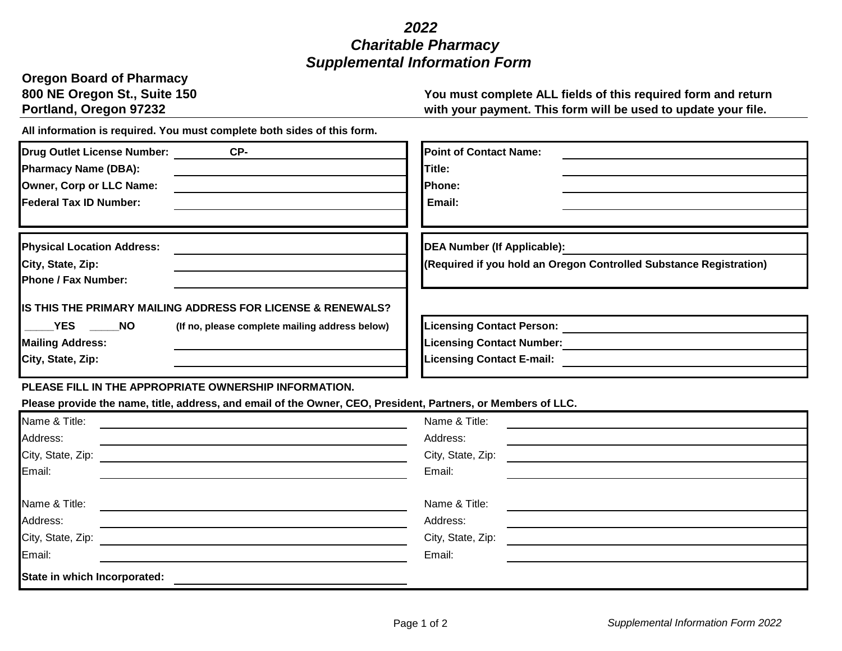## *2022 Charitable Pharmacy Supplemental Information Form*

| <b>Oregon Board of Pharmacy</b> |
|---------------------------------|
| 800 NE Oregon St., Suite 150    |
| <b>Portland, Oregon 97232</b>   |

You must complete ALL fields of this required form and return with your payment. This form will be used to update your file.

**All information is required. You must complete both sides of this form.** 

| Drug Outlet License Number:<br>CP-<br><b>Pharmacy Name (DBA):</b><br>Owner, Corp or LLC Name:<br><b>IFederal Tax ID Number:</b>                     | <b>Point of Contact Name:</b><br>Title:<br>Phone:<br>Email:                                              |
|-----------------------------------------------------------------------------------------------------------------------------------------------------|----------------------------------------------------------------------------------------------------------|
| <b>Physical Location Address:</b><br>City, State, Zip:<br><b>Phone / Fax Number:</b><br>IS THIS THE PRIMARY MAILING ADDRESS FOR LICENSE & RENEWALS? | DEA Number (If Applicable):<br>(Required if you hold an Oregon Controlled Substance Registration)        |
| YES NO<br>(If no, please complete mailing address below)<br><b>Mailing Address:</b><br>City, State, Zip:                                            | <b>Licensing Contact Person:</b><br><b>Licensing Contact Number:</b><br><b>Licensing Contact E-mail:</b> |

## **PLEASE FILL IN THE APPROPRIATE OWNERSHIP INFORMATION.**

**Please provide the name, title, address, and email of the Owner, CEO, President, Partners, or Members of LLC.**

| Name & Title:                | Name & Title:     |
|------------------------------|-------------------|
| Address:                     | Address:          |
| City, State, Zip:            | City, State, Zip: |
| Email:                       | Email:            |
|                              |                   |
| Name & Title:                | Name & Title:     |
| Address:                     | Address:          |
| City, State, Zip:            | City, State, Zip: |
| Email:                       | Email:            |
| State in which Incorporated: |                   |